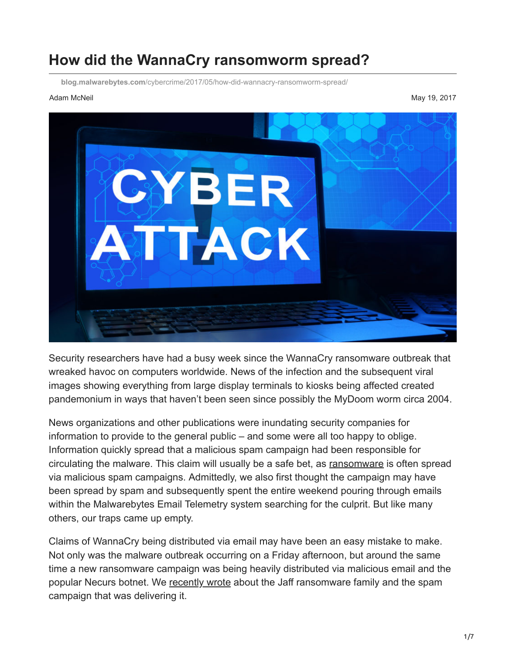# **How did the WannaCry ransomworm spread?**

**blog.malwarebytes.com**[/cybercrime/2017/05/how-did-wannacry-ransomworm-spread/](https://blog.malwarebytes.com/cybercrime/2017/05/how-did-wannacry-ransomworm-spread/)

Adam McNeil May 19, 2017



Security researchers have had a busy week since the WannaCry ransomware outbreak that wreaked havoc on computers worldwide. News of the infection and the subsequent viral images showing everything from large display terminals to kiosks being affected created pandemonium in ways that haven't been seen since possibly the MyDoom worm circa 2004.

News organizations and other publications were inundating security companies for information to provide to the general public – and some were all too happy to oblige. Information quickly spread that a malicious spam campaign had been responsible for circulating the malware. This claim will usually be a safe bet, as [ransomware](https://www.malwarebytes.com/ransomware) is often spread via malicious spam campaigns. Admittedly, we also first thought the campaign may have been spread by spam and subsequently spent the entire weekend pouring through emails within the Malwarebytes Email Telemetry system searching for the culprit. But like many others, our traps came up empty.

Claims of WannaCry being distributed via email may have been an easy mistake to make. Not only was the malware outbreak occurring on a Friday afternoon, but around the same time a new ransomware campaign was being heavily distributed via malicious email and the popular Necurs botnet. We [recently wrote](https://blog.malwarebytes.com/cybercrime/2017/05/new-jaff-ransomware-via-necurs-asks-for-2-btc/) about the Jaff ransomware family and the spam campaign that was delivering it.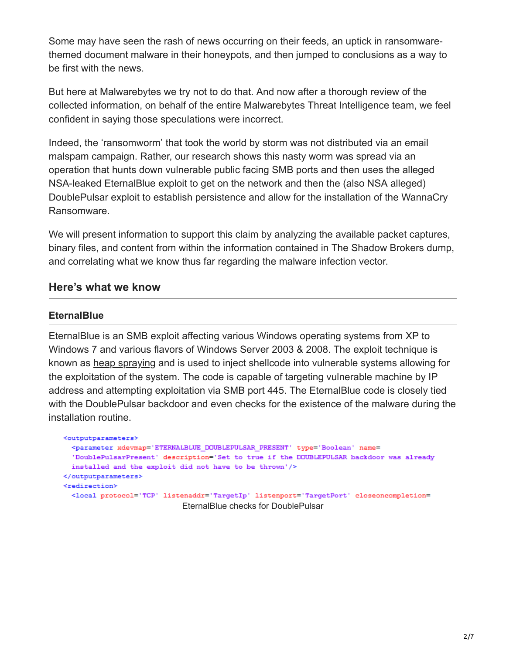Some may have seen the rash of news occurring on their feeds, an uptick in ransomwarethemed document malware in their honeypots, and then jumped to conclusions as a way to be first with the news.

But here at Malwarebytes we try not to do that. And now after a thorough review of the collected information, on behalf of the entire Malwarebytes Threat Intelligence team, we feel confident in saying those speculations were incorrect.

Indeed, the 'ransomworm' that took the world by storm was not distributed via an email malspam campaign. Rather, our research shows this nasty worm was spread via an operation that hunts down vulnerable public facing SMB ports and then uses the alleged NSA-leaked EternalBlue exploit to get on the network and then the (also NSA alleged) DoublePulsar exploit to establish persistence and allow for the installation of the WannaCry Ransomware.

We will present information to support this claim by analyzing the available packet captures, binary files, and content from within the information contained in The Shadow Brokers dump, and correlating what we know thus far regarding the malware infection vector.

### **Here's what we know**

#### **EternalBlue**

EternalBlue is an SMB exploit affecting various Windows operating systems from XP to Windows 7 and various flavors of Windows Server 2003 & 2008. The exploit technique is known as [heap spraying](https://blog.malwarebytes.com/glossary/heap-spray/) and is used to inject shellcode into vulnerable systems allowing for the exploitation of the system. The code is capable of targeting vulnerable machine by IP address and attempting exploitation via SMB port 445. The EternalBlue code is closely tied with the DoublePulsar backdoor and even checks for the existence of the malware during the installation routine.

```
<outputparameters>
  <parameter xdevmap='ETERNALBLUE DOUBLEPULSAR PRESENT' type='Boolean' name=
  'DoublePulsarPresent' description='Set to true if the DOUBLEPULSAR backdoor was already
 installed and the exploit did not have to be thrown'/>
</outputparameters>
<redirection>
  <local protocol='TCP' listenaddr='TargetIp' listenport='TargetPort' closeoncompletion=
                            EternalBlue checks for DoublePulsar
```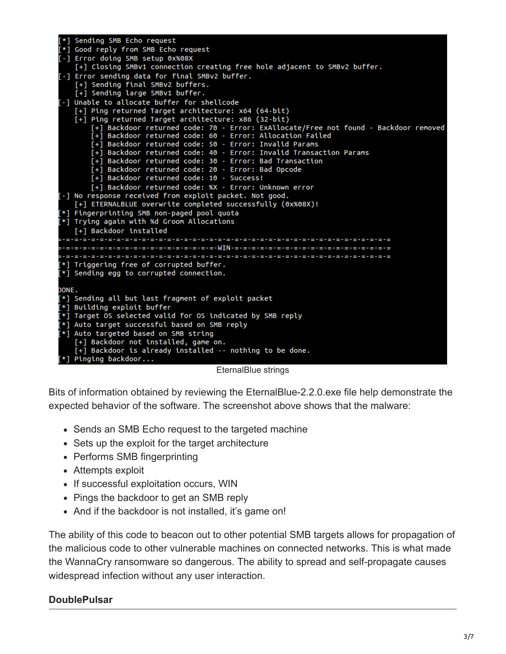|       | [*] Sending SMB Echo request                                                                                        |
|-------|---------------------------------------------------------------------------------------------------------------------|
|       | [*] Good reply from SMB Echo request                                                                                |
|       | [-] Error doing SMB setup 0x%08X                                                                                    |
|       | [+] Closing SMBv1 connection creating free hole adjacent to SMBv2 buffer.                                           |
|       | [-] Error sending data for final SMBv2 buffer.                                                                      |
|       | [+] Sending final SMBv2 buffers.                                                                                    |
|       | [+] Sending large SMBv1 buffer.                                                                                     |
|       | [-] Unable to allocate buffer for shellcode                                                                         |
|       | [+] Ping returned Target architecture: x64 (64-bit)                                                                 |
|       | [+] Ping returned Target architecture: x86 (32-bit)                                                                 |
|       | [+] Backdoor returned code: 70 - Error: ExAllocate/Free not found - Backdoor removed                                |
|       | [+] Backdoor returned code: 60 - Error: Allocation Failed<br>[+] Backdoor returned code: 50 - Error: Invalid Params |
|       | [+] Backdoor returned code: 40 - Error: Invalid Transaction Params                                                  |
|       | [+] Backdoor returned code: 30 - Error: Bad Transaction                                                             |
|       | [+] Backdoor returned code: 20 - Error: Bad Opcode                                                                  |
|       | [+] Backdoor returned code: 10 - Success!                                                                           |
|       | [+] Backdoor returned code: %X - Error: Unknown error                                                               |
|       | [-] No response received from exploit packet. Not good.                                                             |
|       | [+] ETERNALBLUE overwrite completed successfully (0x%08X)!                                                          |
|       | [*] Fingerprinting SMB non-paged pool quota                                                                         |
|       | [*] Trying again with %d Groom Allocations                                                                          |
|       | [+] Backdoor installed                                                                                              |
|       |                                                                                                                     |
|       |                                                                                                                     |
|       |                                                                                                                     |
|       | [*] Triggering free of corrupted buffer.                                                                            |
|       | $[*]$ Sending egg to corrupted connection.                                                                          |
|       |                                                                                                                     |
| DONE. |                                                                                                                     |
|       | [*] Sending all but last fragment of exploit packet                                                                 |
|       | [*] Building exploit buffer                                                                                         |
|       | [*] Target OS selected valid for OS indicated by SMB reply                                                          |
|       | [*] Auto target successful based on SMB reply                                                                       |
|       | [*] Auto targeted based on SMB string                                                                               |
|       | [+] Backdoor not installed, game on.                                                                                |
|       | [+] Backdoor is already installed -- nothing to be done.                                                            |
|       | $[*]$ Pinging backdoor                                                                                              |

EternalBlue strings

Bits of information obtained by reviewing the EternalBlue-2.2.0.exe file help demonstrate the expected behavior of the software. The screenshot above shows that the malware:

- Sends an SMB Echo request to the targeted machine
- Sets up the exploit for the target architecture
- Performs SMB fingerprinting
- Attempts exploit
- If successful exploitation occurs, WIN
- Pings the backdoor to get an SMB reply
- And if the backdoor is not installed, it's game on!

The ability of this code to beacon out to other potential SMB targets allows for propagation of the malicious code to other vulnerable machines on connected networks. This is what made the WannaCry ransomware so dangerous. The ability to spread and self-propagate causes widespread infection without any user interaction.

#### **DoublePulsar**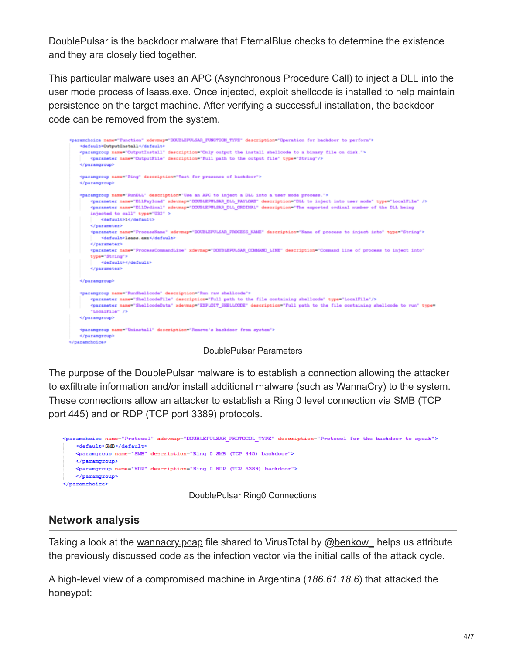DoublePulsar is the backdoor malware that EternalBlue checks to determine the existence and they are closely tied together.

This particular malware uses an APC (Asynchronous Procedure Call) to inject a DLL into the user mode process of lsass.exe. Once injected, exploit shellcode is installed to help maintain persistence on the target machine. After verifying a successful installation, the backdoor code can be removed from the system.



DoublePulsar Parameters

The purpose of the DoublePulsar malware is to establish a connection allowing the attacker to exfiltrate information and/or install additional malware (such as WannaCry) to the system. These connections allow an attacker to establish a Ring 0 level connection via SMB (TCP port 445) and or RDP (TCP port 3389) protocols.

```
<paramchoice name="Protocol" xdevmap="DOUBLEPULSAR PROTOCOL TYPE" description="Protocol for the backdoor to speak">
   <default>SMB</default>
   <paramgroup name="SMB" description="Ring 0 SMB (TCP 445) backdoor">
   </paramgroup>
   <paramgroup name="RDP" description="Ring 0 RDP (TCP 3389) backdoor">
   </paramgroup>
</paramchoice>
```
DoublePulsar Ring0 Connections

### **Network analysis**

Taking a look at the wannacry pcap file shared to VirusTotal by [@benkow\\_](https://twitter.com/benkow_) helps us attribute the previously discussed code as the infection vector via the initial calls of the attack cycle.

A high-level view of a compromised machine in Argentina (*186.61.18.6*) that attacked the honeypot: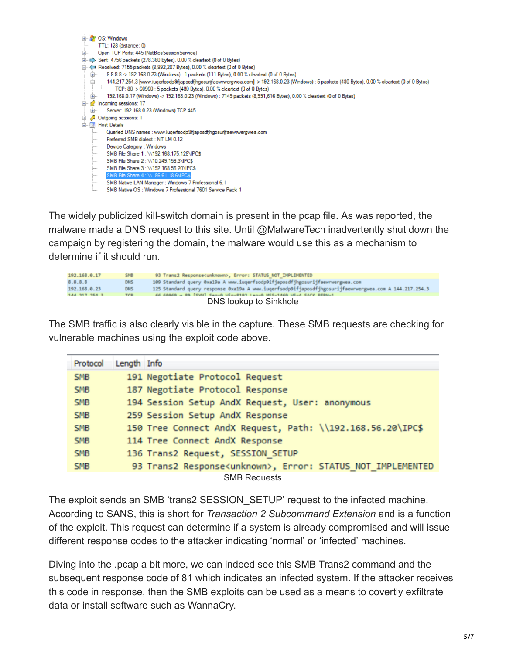

The widely publicized kill-switch domain is present in the pcap file. As was reported, the malware made a DNS request to this site. Until [@MalwareTech](https://twitter.com/MalwareTechBlog/) inadvertently [shut down](http://www.pcmag.com/news/353663/researcher-accidentally-thwarts-wannacry-ransomware) the campaign by registering the domain, the malware would use this as a mechanism to determine if it should run.

| 192.168.0.17           | SMB        | 93 Trans2 Response <unknown>, Error: STATUS NOT IMPLEMENTED</unknown>                                  |  |  |  |
|------------------------|------------|--------------------------------------------------------------------------------------------------------|--|--|--|
| 8.8.8.8                | <b>DNS</b> | 109 Standard query 0xa19a A www.iuqerfsodp9ifjaposdfjhgosurijfaewrwergwea.com                          |  |  |  |
| 192.168.0.23           | <b>DNS</b> | 125 Standard query response 0xa19a A www.iuqerfsodp9ifjaposdfjhgosurijfaewrwergwea.com A 144.217.254.3 |  |  |  |
| <b>144 217 254 3</b>   | <b>TCD</b> | CC COOCO + RO [CVN] CanuB Win=R103 Lan=B NCC=14CB UC=4 CACV DEDN=1                                     |  |  |  |
| DNS lookup to Sinkhole |            |                                                                                                        |  |  |  |

The SMB traffic is also clearly visible in the capture. These SMB requests are checking for vulnerable machines using the exploit code above.

| Protocol   | Length Info |                                                                       |
|------------|-------------|-----------------------------------------------------------------------|
| <b>SMB</b> |             | 191 Negotiate Protocol Request                                        |
| <b>SMB</b> |             | 187 Negotiate Protocol Response                                       |
| <b>SMB</b> |             | 194 Session Setup AndX Request, User: anonymous                       |
| <b>SMB</b> |             | 259 Session Setup AndX Response                                       |
| <b>SMB</b> |             | 150 Tree Connect AndX Request, Path: \\192.168.56.20\IPC\$            |
| <b>SMB</b> |             | 114 Tree Connect AndX Response                                        |
| <b>SMB</b> |             | 136 Trans2 Request, SESSION SETUP                                     |
| <b>SMB</b> |             | 93 Trans2 Response <unknown>, Error: STATUS NOT IMPLEMENTED</unknown> |
|            |             | <b>SMB Requests</b>                                                   |

The exploit sends an SMB 'trans2 SESSION\_SETUP' request to the infected machine. [According to SANS,](https://isc.sans.edu/forums/diary/Detecting+SMB+Covert+Channel+Double+Pulsar/22312/) this is short for *Transaction 2 Subcommand Extension* and is a function of the exploit. This request can determine if a system is already compromised and will issue different response codes to the attacker indicating 'normal' or 'infected' machines.

Diving into the .pcap a bit more, we can indeed see this SMB Trans2 command and the subsequent response code of 81 which indicates an infected system. If the attacker receives this code in response, then the SMB exploits can be used as a means to covertly exfiltrate data or install software such as WannaCry.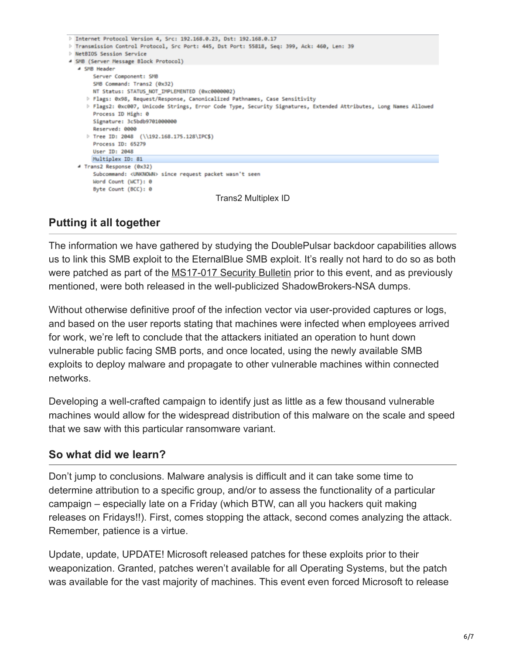

# **Putting it all together**

The information we have gathered by studying the DoublePulsar backdoor capabilities allows us to link this SMB exploit to the EternalBlue SMB exploit. It's really not hard to do so as both were patched as part of the [MS17-017 Security Bulletin](https://docs.microsoft.com/en-us/security-updates/SecurityBulletins/2017/ms17-017) prior to this event, and as previously mentioned, were both released in the well-publicized ShadowBrokers-NSA dumps.

Without otherwise definitive proof of the infection vector via user-provided captures or logs, and based on the user reports stating that machines were infected when employees arrived for work, we're left to conclude that the attackers initiated an operation to hunt down vulnerable public facing SMB ports, and once located, using the newly available SMB exploits to deploy malware and propagate to other vulnerable machines within connected networks.

Developing a well-crafted campaign to identify just as little as a few thousand vulnerable machines would allow for the widespread distribution of this malware on the scale and speed that we saw with this particular ransomware variant.

## **So what did we learn?**

Don't jump to conclusions. Malware analysis is difficult and it can take some time to determine attribution to a specific group, and/or to assess the functionality of a particular campaign – especially late on a Friday (which BTW, can all you hackers quit making releases on Fridays!!). First, comes stopping the attack, second comes analyzing the attack. Remember, patience is a virtue.

Update, update, UPDATE! Microsoft released patches for these exploits prior to their weaponization. Granted, patches weren't available for all Operating Systems, but the patch was available for the vast majority of machines. This event even forced Microsoft to release